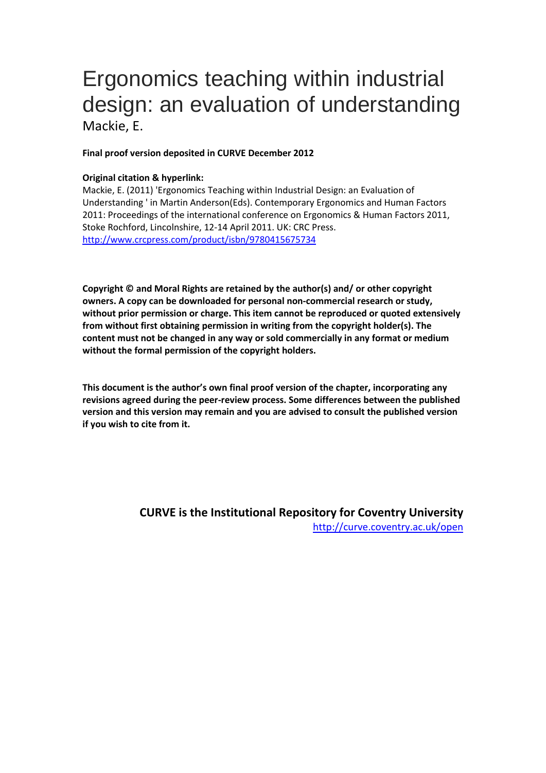# Ergonomics teaching within industrial design: an evaluation of understanding Mackie, E.

# **Final proof version deposited in CURVE December 2012**

# **Original citation & hyperlink:**

Mackie, E. (2011) 'Ergonomics Teaching within Industrial Design: an Evaluation of Understanding ' in Martin Anderson(Eds). Contemporary Ergonomics and Human Factors 2011: Proceedings of the international conference on Ergonomics & Human Factors 2011, Stoke Rochford, Lincolnshire, 12-14 April 2011. UK: CRC Press. http://www.crcpress.com/product/isbn/9780415675734

**Copyright © and Moral Rights are retained by the author(s) and/ or other copyright owners. A copy can be downloaded for personal non-commercial research or study, without prior permission or charge. This item cannot be reproduced or quoted extensively from without first obtaining permission in writing from the copyright holder(s). The content must not be changed in any way or sold commercially in any format or medium without the formal permission of the copyright holders.** 

**This document is the author's own final proof version of the chapter, incorporating any revisions agreed during the peer-review process. Some differences between the published version and this version may remain and you are advised to consult the published version if you wish to cite from it.** 

> **CURVE is the Institutional Repository for Coventry University** http://curve.coventry.ac.uk/open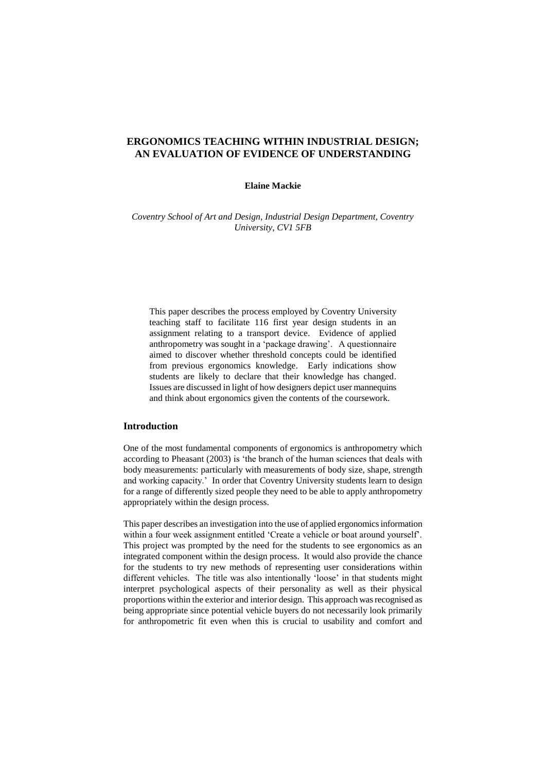## **ERGONOMICS TEACHING WITHIN INDUSTRIAL DESIGN; AN EVALUATION OF EVIDENCE OF UNDERSTANDING**

#### **Elaine Mackie**

*Coventry School of Art and Design, Industrial Design Department, Coventry University, CV1 5FB*

This paper describes the process employed by Coventry University teaching staff to facilitate 116 first year design students in an assignment relating to a transport device. Evidence of applied anthropometry was sought in a 'package drawing'. A questionnaire aimed to discover whether threshold concepts could be identified from previous ergonomics knowledge. Early indications show students are likely to declare that their knowledge has changed. Issues are discussed in light of how designers depict user mannequins and think about ergonomics given the contents of the coursework.

## **Introduction**

One of the most fundamental components of ergonomics is anthropometry which according to Pheasant (2003) is 'the branch of the human sciences that deals with body measurements: particularly with measurements of body size, shape, strength and working capacity.' In order that Coventry University students learn to design for a range of differently sized people they need to be able to apply anthropometry appropriately within the design process.

This paper describes an investigation into the use of applied ergonomics information within a four week assignment entitled 'Create a vehicle or boat around yourself'. This project was prompted by the need for the students to see ergonomics as an integrated component within the design process. It would also provide the chance for the students to try new methods of representing user considerations within different vehicles. The title was also intentionally 'loose' in that students might interpret psychological aspects of their personality as well as their physical proportions within the exterior and interior design. This approach was recognised as being appropriate since potential vehicle buyers do not necessarily look primarily for anthropometric fit even when this is crucial to usability and comfort and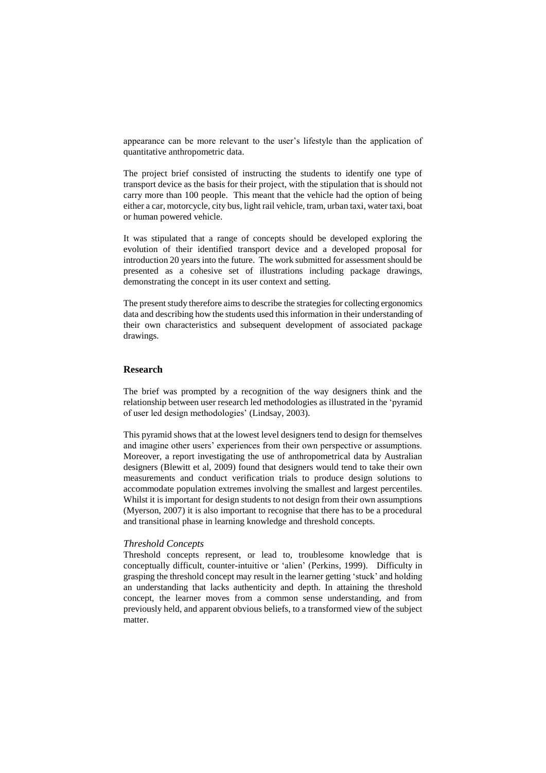appearance can be more relevant to the user's lifestyle than the application of quantitative anthropometric data.

The project brief consisted of instructing the students to identify one type of transport device as the basis for their project, with the stipulation that is should not carry more than 100 people. This meant that the vehicle had the option of being either a car, motorcycle, city bus, light rail vehicle, tram, urban taxi, water taxi, boat or human powered vehicle.

It was stipulated that a range of concepts should be developed exploring the evolution of their identified transport device and a developed proposal for introduction 20 years into the future. The work submitted for assessment should be presented as a cohesive set of illustrations including package drawings, demonstrating the concept in its user context and setting.

The present study therefore aims to describe the strategies for collecting ergonomics data and describing how the students used this information in their understanding of their own characteristics and subsequent development of associated package drawings.

## **Research**

The brief was prompted by a recognition of the way designers think and the relationship between user research led methodologies as illustrated in the 'pyramid of user led design methodologies' (Lindsay, 2003).

This pyramid shows that at the lowest level designers tend to design for themselves and imagine other users' experiences from their own perspective or assumptions. Moreover, a report investigating the use of anthropometrical data by Australian designers (Blewitt et al, 2009) found that designers would tend to take their own measurements and conduct verification trials to produce design solutions to accommodate population extremes involving the smallest and largest percentiles. Whilst it is important for design students to not design from their own assumptions (Myerson, 2007) it is also important to recognise that there has to be a procedural and transitional phase in learning knowledge and threshold concepts.

#### *Threshold Concepts*

Threshold concepts represent, or lead to, troublesome knowledge that is conceptually difficult, counter-intuitive or 'alien' (Perkins, 1999). Difficulty in grasping the threshold concept may result in the learner getting 'stuck' and holding an understanding that lacks authenticity and depth. In attaining the threshold concept, the learner moves from a common sense understanding, and from previously held, and apparent obvious beliefs, to a transformed view of the subject matter.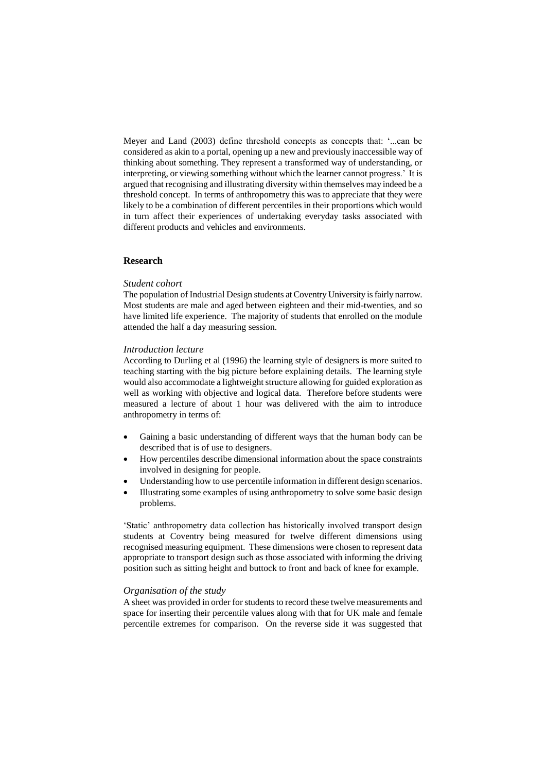Meyer and Land (2003) define threshold concepts as concepts that: '...can be considered as akin to a portal, opening up a new and previously inaccessible way of thinking about something. They represent a transformed way of understanding, or interpreting, or viewing something without which the learner cannot progress.' It is argued that recognising and illustrating diversity within themselves may indeed be a threshold concept. In terms of anthropometry this was to appreciate that they were likely to be a combination of different percentiles in their proportions which would in turn affect their experiences of undertaking everyday tasks associated with different products and vehicles and environments.

#### **Research**

#### *Student cohort*

The population of Industrial Design students at Coventry University is fairly narrow. Most students are male and aged between eighteen and their mid-twenties, and so have limited life experience. The majority of students that enrolled on the module attended the half a day measuring session.

#### *Introduction lecture*

According to Durling et al (1996) the learning style of designers is more suited to teaching starting with the big picture before explaining details. The learning style would also accommodate a lightweight structure allowing for guided exploration as well as working with objective and logical data. Therefore before students were measured a lecture of about 1 hour was delivered with the aim to introduce anthropometry in terms of:

- Gaining a basic understanding of different ways that the human body can be described that is of use to designers.
- How percentiles describe dimensional information about the space constraints involved in designing for people.
- Understanding how to use percentile information in different design scenarios.
- Illustrating some examples of using anthropometry to solve some basic design problems.

'Static' anthropometry data collection has historically involved transport design students at Coventry being measured for twelve different dimensions using recognised measuring equipment. These dimensions were chosen to represent data appropriate to transport design such as those associated with informing the driving position such as sitting height and buttock to front and back of knee for example.

## *Organisation of the study*

A sheet was provided in order for students to record these twelve measurements and space for inserting their percentile values along with that for UK male and female percentile extremes for comparison. On the reverse side it was suggested that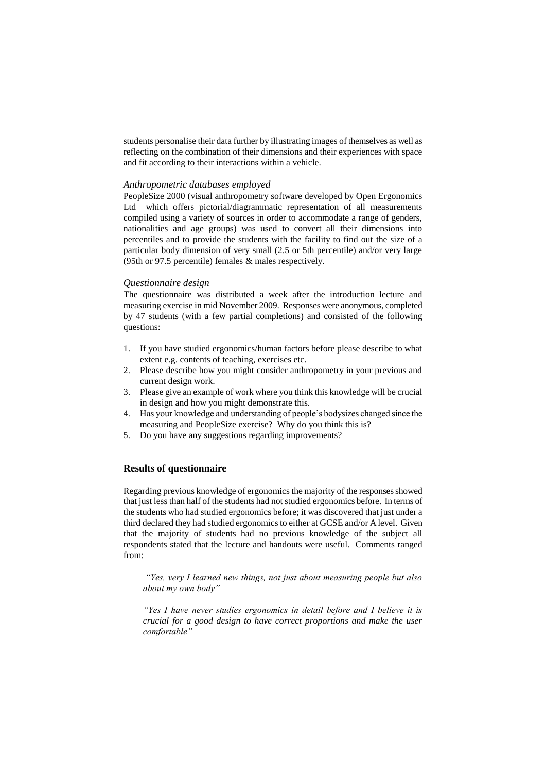students personalise their data further by illustrating images of themselves as well as reflecting on the combination of their dimensions and their experiences with space and fit according to their interactions within a vehicle.

#### *Anthropometric databases employed*

PeopleSize 2000 (visual anthropometry software developed by Open Ergonomics Ltd which offers pictorial/diagrammatic representation of all measurements compiled using a variety of sources in order to accommodate a range of genders, nationalities and age groups) was used to convert all their dimensions into percentiles and to provide the students with the facility to find out the size of a particular body dimension of very small (2.5 or 5th percentile) and/or very large (95th or 97.5 percentile) females & males respectively.

### *Questionnaire design*

The questionnaire was distributed a week after the introduction lecture and measuring exercise in mid November 2009. Responses were anonymous, completed by 47 students (with a few partial completions) and consisted of the following questions:

- 1. If you have studied ergonomics/human factors before please describe to what extent e.g. contents of teaching, exercises etc.
- 2. Please describe how you might consider anthropometry in your previous and current design work.
- 3. Please give an example of work where you think this knowledge will be crucial in design and how you might demonstrate this.
- 4. Has your knowledge and understanding of people's bodysizes changed since the measuring and PeopleSize exercise? Why do you think this is?
- 5. Do you have any suggestions regarding improvements?

## **Results of questionnaire**

Regarding previous knowledge of ergonomics the majority of the responses showed that just less than half of the students had not studied ergonomics before. In terms of the students who had studied ergonomics before; it was discovered that just under a third declared they had studied ergonomics to either at GCSE and/or A level. Given that the majority of students had no previous knowledge of the subject all respondents stated that the lecture and handouts were useful. Comments ranged from:

*"Yes, very I learned new things, not just about measuring people but also about my own body"*

*"Yes I have never studies ergonomics in detail before and I believe it is crucial for a good design to have correct proportions and make the user comfortable"*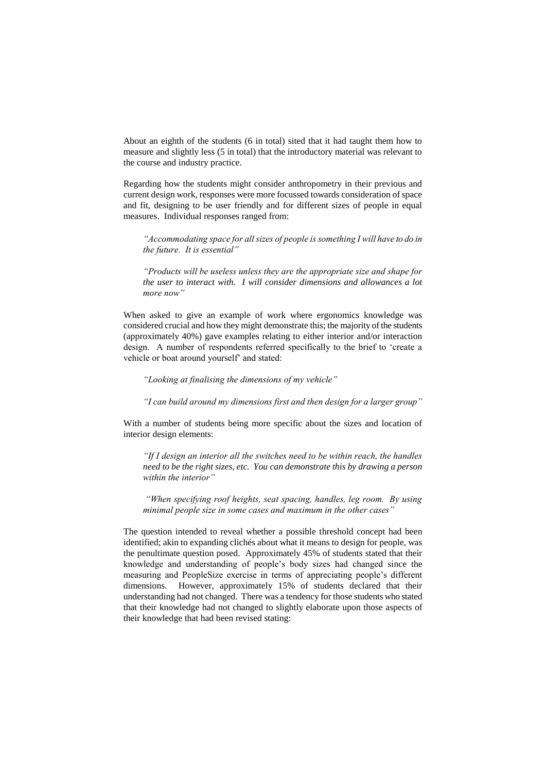About an eighth of the students (6 in total) sited that it had taught them how to measure and slightly less (5 in total) that the introductory material was relevant to the course and industry practice.

Regarding how the students might consider anthropometry in their previous and current design work, responses were more focussed towards consideration of space and fit, designing to be user friendly and for different sizes of people in equal measures. Individual responses ranged from:

*"Accommodating space for all sizes of people is something I will have to do in the future. It is essential"*

*"Products will be useless unless they are the appropriate size and shape for the user to interact with. I will consider dimensions and allowances a lot more now"*

When asked to give an example of work where ergonomics knowledge was considered crucial and how they might demonstrate this; the majority of the students (approximately 40%) gave examples relating to either interior and/or interaction design. A number of respondents referred specifically to the brief to 'create a vehicle or boat around yourself' and stated:

*"Looking at finalising the dimensions of my vehicle"*

*"I can build around my dimensions first and then design for a larger group"*

With a number of students being more specific about the sizes and location of interior design elements:

*"If I design an interior all the switches need to be within reach, the handles need to be the right sizes, etc. You can demonstrate this by drawing a person within the interior"*

*"When specifying roof heights, seat spacing, handles, leg room. By using minimal people size in some cases and maximum in the other cases"*

The question intended to reveal whether a possible threshold concept had been identified; akin to expanding clichés about what it means to design for people, was the penultimate question posed. Approximately 45% of students stated that their knowledge and understanding of people's body sizes had changed since the measuring and PeopleSize exercise in terms of appreciating people's different dimensions. However, approximately 15% of students declared that their understanding had not changed. There was a tendency for those students who stated that their knowledge had not changed to slightly elaborate upon those aspects of their knowledge that had been revised stating: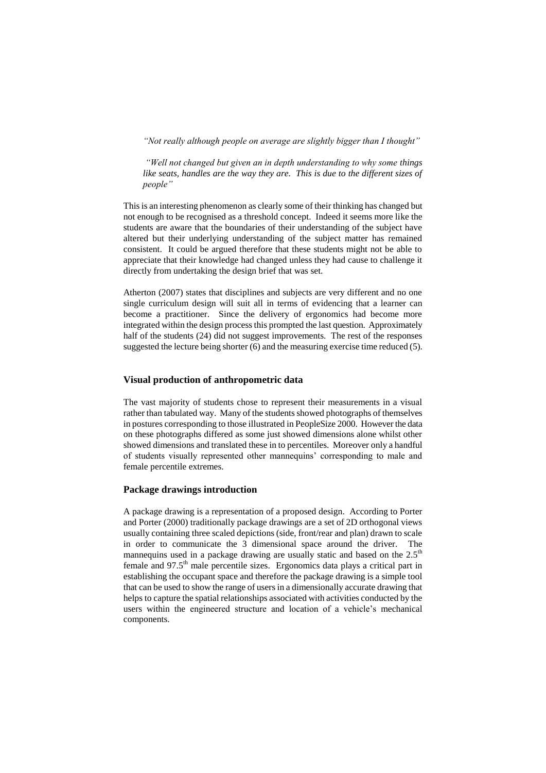*"Not really although people on average are slightly bigger than I thought"*

*"Well not changed but given an in depth understanding to why some things like seats, handles are the way they are. This is due to the different sizes of people"*

This is an interesting phenomenon as clearly some of their thinking has changed but not enough to be recognised as a threshold concept. Indeed it seems more like the students are aware that the boundaries of their understanding of the subject have altered but their underlying understanding of the subject matter has remained consistent. It could be argued therefore that these students might not be able to appreciate that their knowledge had changed unless they had cause to challenge it directly from undertaking the design brief that was set.

Atherton (2007) states that disciplines and subjects are very different and no one single curriculum design will suit all in terms of evidencing that a learner can become a practitioner. Since the delivery of ergonomics had become more integrated within the design process this prompted the last question. Approximately half of the students (24) did not suggest improvements. The rest of the responses suggested the lecture being shorter (6) and the measuring exercise time reduced (5).

### **Visual production of anthropometric data**

The vast majority of students chose to represent their measurements in a visual rather than tabulated way. Many of the students showed photographs of themselves in postures corresponding to those illustrated in PeopleSize 2000. However the data on these photographs differed as some just showed dimensions alone whilst other showed dimensions and translated these in to percentiles. Moreover only a handful of students visually represented other mannequins' corresponding to male and female percentile extremes.

### **Package drawings introduction**

A package drawing is a representation of a proposed design. According to Porter and Porter (2000) traditionally package drawings are a set of 2D orthogonal views usually containing three scaled depictions (side, front/rear and plan) drawn to scale in order to communicate the 3 dimensional space around the driver. The mannequins used in a package drawing are usually static and based on the  $2.5<sup>th</sup>$ female and 97.5<sup>th</sup> male percentile sizes. Ergonomics data plays a critical part in establishing the occupant space and therefore the package drawing is a simple tool that can be used to show the range of users in a dimensionally accurate drawing that helps to capture the spatial relationships associated with activities conducted by the users within the engineered structure and location of a vehicle's mechanical components.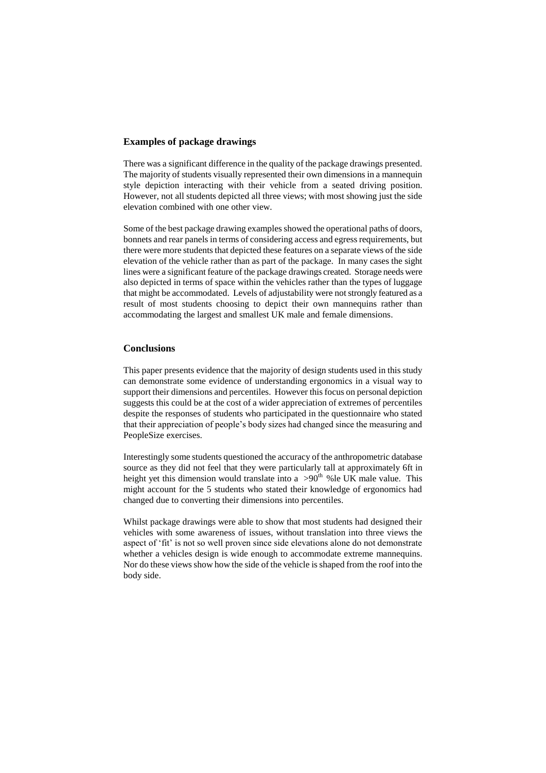#### **Examples of package drawings**

There was a significant difference in the quality of the package drawings presented. The majority of students visually represented their own dimensions in a mannequin style depiction interacting with their vehicle from a seated driving position. However, not all students depicted all three views; with most showing just the side elevation combined with one other view.

Some of the best package drawing examples showed the operational paths of doors, bonnets and rear panels in terms of considering access and egress requirements, but there were more students that depicted these features on a separate views of the side elevation of the vehicle rather than as part of the package. In many cases the sight lines were a significant feature of the package drawings created. Storage needs were also depicted in terms of space within the vehicles rather than the types of luggage that might be accommodated. Levels of adjustability were not strongly featured as a result of most students choosing to depict their own mannequins rather than accommodating the largest and smallest UK male and female dimensions.

#### **Conclusions**

This paper presents evidence that the majority of design students used in this study can demonstrate some evidence of understanding ergonomics in a visual way to support their dimensions and percentiles. However this focus on personal depiction suggests this could be at the cost of a wider appreciation of extremes of percentiles despite the responses of students who participated in the questionnaire who stated that their appreciation of people's body sizes had changed since the measuring and PeopleSize exercises.

Interestingly some students questioned the accuracy of the anthropometric database source as they did not feel that they were particularly tall at approximately 6ft in height yet this dimension would translate into a  $> 90<sup>th</sup>$  % le UK male value. This might account for the 5 students who stated their knowledge of ergonomics had changed due to converting their dimensions into percentiles.

Whilst package drawings were able to show that most students had designed their vehicles with some awareness of issues, without translation into three views the aspect of 'fit' is not so well proven since side elevations alone do not demonstrate whether a vehicles design is wide enough to accommodate extreme mannequins. Nor do these views show how the side of the vehicle is shaped from the roof into the body side.